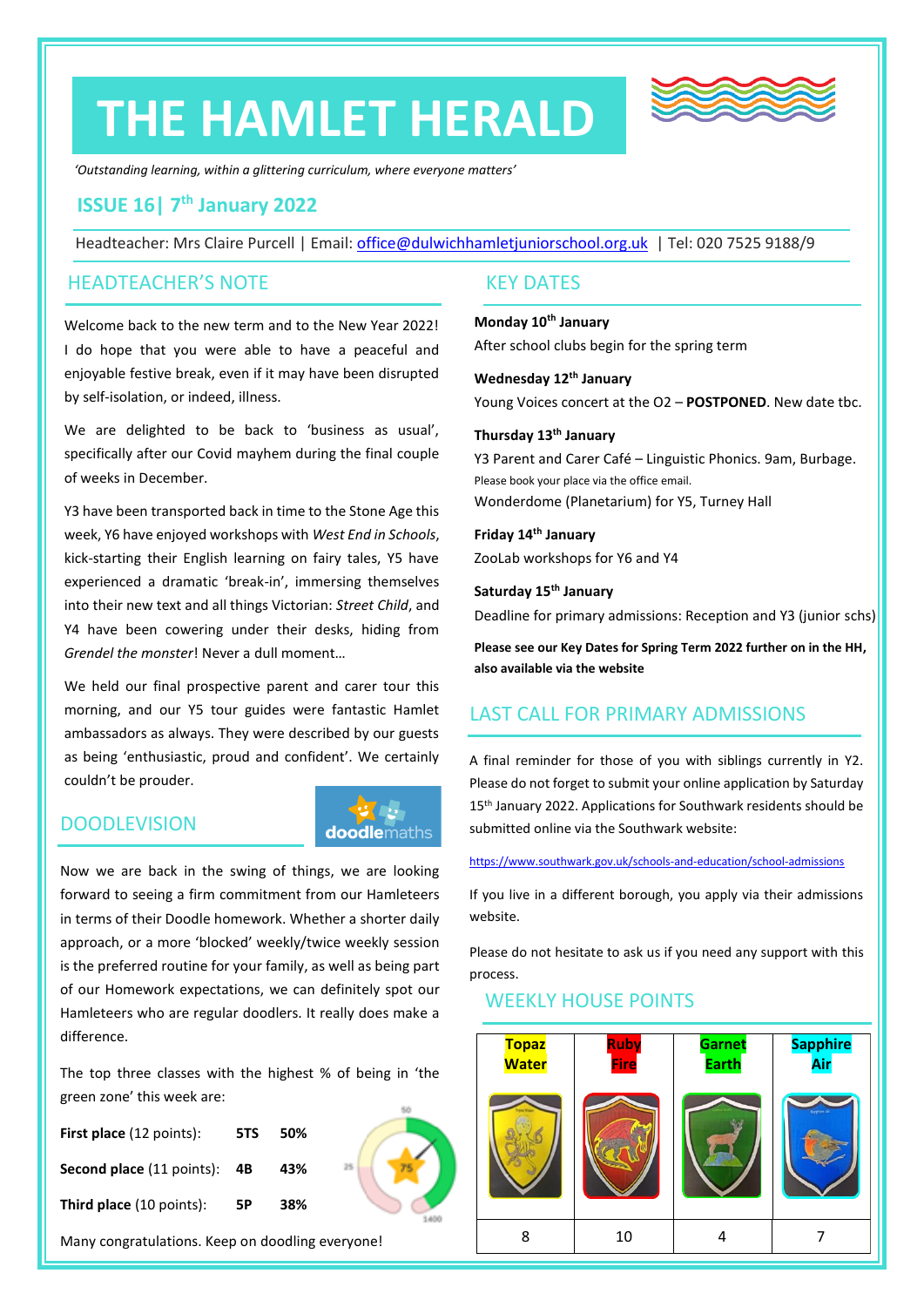# **THE HAMLET HERALD**



*'Outstanding learning, within a glittering curriculum, where everyone matters'*

# **ISSUE 16| 7 th January 2022**

Headteacher: Mrs Claire Purcell | Email: [office@dulwichhamletjuniorschool.org.uk](mailto:office@dulwichhamletjuniorschool.org.uk) | Tel: 020 7525 9188/9

#### HEADTEACHER'S NOTE

Welcome back to the new term and to the New Year 2022! I do hope that you were able to have a peaceful and enjoyable festive break, even if it may have been disrupted by self-isolation, or indeed, illness.

We are delighted to be back to 'business as usual', specifically after our Covid mayhem during the final couple of weeks in December.

Y3 have been transported back in time to the Stone Age this week, Y6 have enjoyed workshops with *West End in Schools*, kick-starting their English learning on fairy tales, Y5 have experienced a dramatic 'break-in', immersing themselves into their new text and all things Victorian: *Street Child*, and Y4 have been cowering under their desks, hiding from *Grendel the monster*! Never a dull moment…

We held our final prospective parent and carer tour this morning, and our Y5 tour guides were fantastic Hamlet ambassadors as always. They were described by our guests as being 'enthusiastic, proud and confident'. We certainly couldn't be prouder.

**doodlemaths** 

# **DOODLEVISION**

# Now we are back in the swing of things, we are looking forward to seeing a firm commitment from our Hamleteers in terms of their Doodle homework. Whether a shorter daily approach, or a more 'blocked' weekly/twice weekly session is the preferred routine for your family, as well as being part of our Homework expectations, we can definitely spot our Hamleteers who are regular doodlers. It really does make a difference.

The top three classes with the highest % of being in 'the green zone' this week are:

| <b>First place</b> (12 points):                  | 5TS | 50% |    |
|--------------------------------------------------|-----|-----|----|
| <b>Second place (11 points): 4B</b>              |     | 43% | 25 |
| <b>Third place</b> (10 points):                  | 5P  | 38% |    |
| Many congratulations. Keep on doodling everyone! |     |     |    |

#### KEY DATES

**Monday 10th January** After school clubs begin for the spring term

**Wednesday 12th January** Young Voices concert at the O2 – **POSTPONED**. New date tbc.

#### **Thursday 13th January**

Y3 Parent and Carer Café – Linguistic Phonics. 9am, Burbage. Please book your place via the office email. Wonderdome (Planetarium) for Y5, Turney Hall

**Friday 14th January** ZooLab workshops for Y6 and Y4

**Saturday 15th January** Deadline for primary admissions: Reception and Y3 (junior schs)

**Please see our Key Dates for Spring Term 2022 further on in the HH, also available via the website**

# LAST CALL FOR PRIMARY ADMISSIONS

A final reminder for those of you with siblings currently in Y2. Please do not forget to submit your online application by Saturday 15<sup>th</sup> January 2022. Applications for Southwark residents should be submitted online via the Southwark website:

<https://www.southwark.gov.uk/schools-and-education/school-admissions>

If you live in a different borough, you apply via their admissions website.

Please do not hesitate to ask us if you need any support with this process.

# WEEKLY HOUSE POINTS

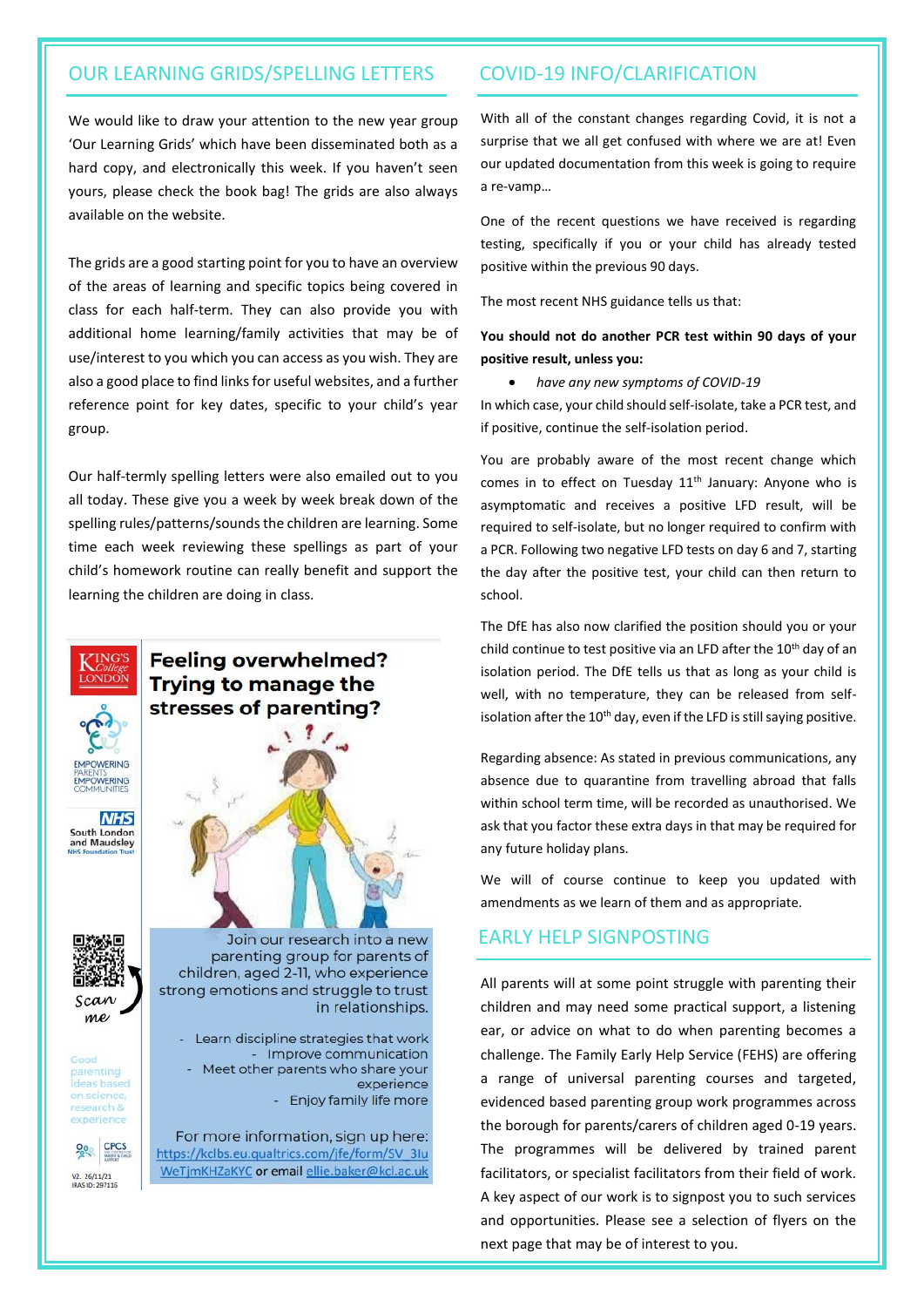# OUR LEARNING GRIDS/SPELLING LETTERS COVID-19 INFO/CLARIFICATION

We would like to draw your attention to the new year group 'Our Learning Grids' which have been disseminated both as a hard copy, and electronically this week. If you haven't seen yours, please check the book bag! The grids are also always available on the website.

The grids are a good starting point for you to have an overview of the areas of learning and specific topics being covered in class for each half-term. They can also provide you with additional home learning/family activities that may be of use/interest to you which you can access as you wish. They are also a good place to find links for useful websites, and a further reference point for key dates, specific to your child's year group.

Our half-termly spelling letters were also emailed out to you all today. These give you a week by week break down of the spelling rules/patterns/sounds the children are learning. Some time each week reviewing these spellings as part of your child's homework routine can really benefit and support the learning the children are doing in class.



With all of the constant changes regarding Covid, it is not a surprise that we all get confused with where we are at! Even our updated documentation from this week is going to require a re-vamp…

One of the recent questions we have received is regarding testing, specifically if you or your child has already tested positive within the previous 90 days.

The most recent NHS guidance tells us that:

#### **You should not do another PCR test within 90 days of your positive result, unless you:**

• *have any new symptoms of COVID-19*

In which case, your child should self-isolate, take a PCR test, and if positive, continue the self-isolation period.

You are probably aware of the most recent change which comes in to effect on Tuesday  $11<sup>th</sup>$  January: Anyone who is asymptomatic and receives a positive LFD result, will be required to self-isolate, but no longer required to confirm with a PCR. Following two negative LFD tests on day 6 and 7, starting the day after the positive test, your child can then return to school.

The DfE has also now clarified the position should you or your child continue to test positive via an LFD after the 10<sup>th</sup> day of an isolation period. The DfE tells us that as long as your child is well, with no temperature, they can be released from selfisolation after the 10<sup>th</sup> day, even if the LFD is still saying positive.

Regarding absence: As stated in previous communications, any absence due to quarantine from travelling abroad that falls within school term time, will be recorded as unauthorised. We ask that you factor these extra days in that may be required for any future holiday plans.

We will of course continue to keep you updated with amendments as we learn of them and as appropriate.

#### EARLY HELP SIGNPOSTING

All parents will at some point struggle with parenting their children and may need some practical support, a listening ear, or advice on what to do when parenting becomes a challenge. The Family Early Help Service (FEHS) are offering a range of universal parenting courses and targeted, evidenced based parenting group work programmes across the borough for parents/carers of children aged 0-19 years. The programmes will be delivered by trained parent facilitators, or specialist facilitators from their field of work. A key aspect of our work is to signpost you to such services and opportunities. Please see a selection of flyers on the next page that may be of interest to you.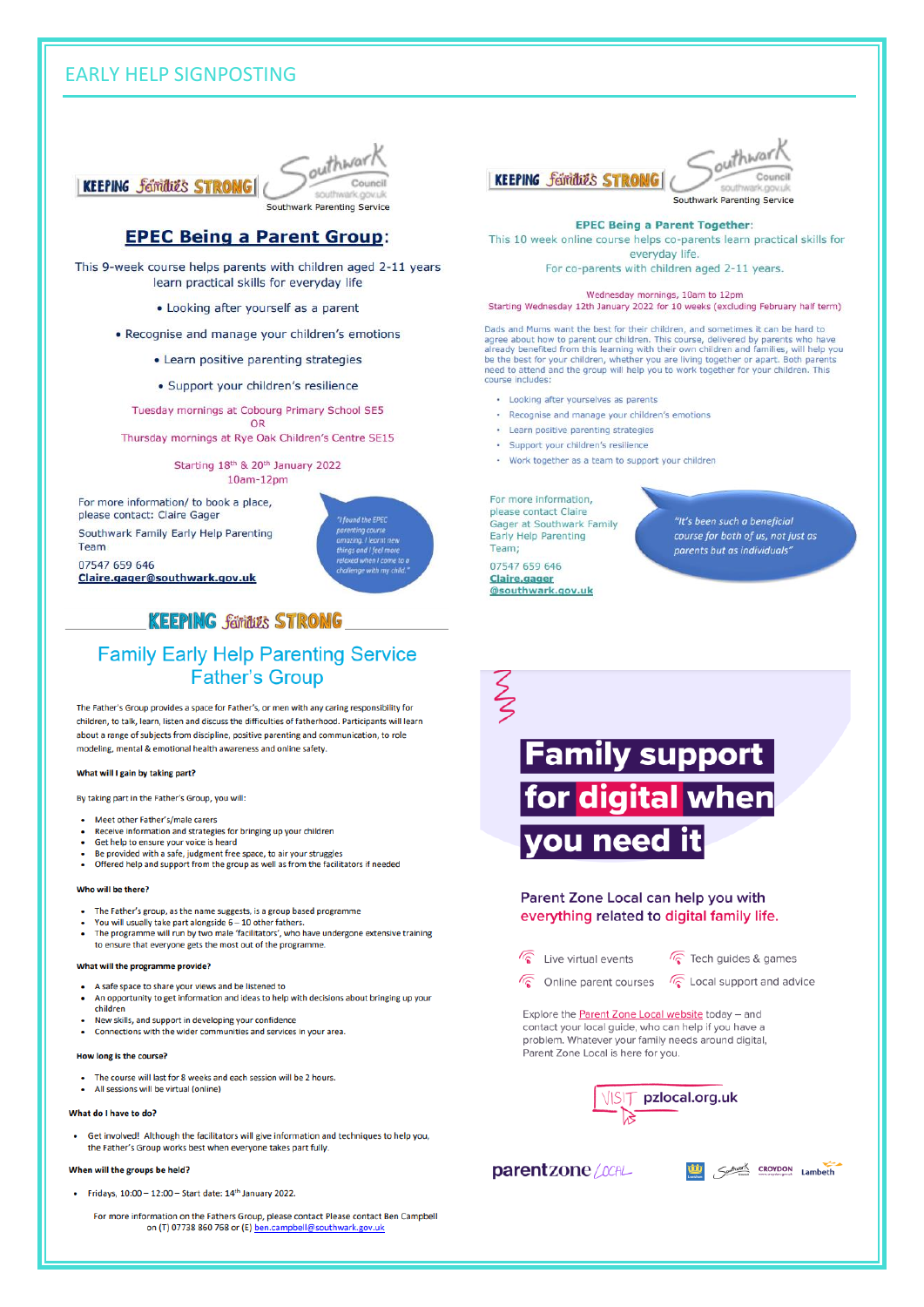# **EARLY HELP SIGNPOSTING**



#### **EPEC Being a Parent Group:**

This 9-week course helps parents with children aged 2-11 years learn practical skills for everyday life

- Looking after yourself as a parent
- Recognise and manage your children's emotions
	- Learn positive parenting strategies
	- · Support your children's resilience

Tuesday mornings at Cobourg Primary School SE5 OR

Thursday mornings at Rye Oak Children's Centre SE15

Starting 18th & 20th January 2022  $10am-12pm$ 

For more information/ to book a place, please contact: Claire Gager

Southwark Family Early Help Parenting Team

07547 659 646 Claire.gager@southwark.gov.uk



# **KEEPING families STRONG**

#### **Family Early Help Parenting Service Father's Group**

The Father's Group provides a space for Father's, or men with any caring responsibility for children, to talk, learn, listen and discuss the difficulties of fatherhood. Participants will learn about a range of subjects from discipline, positive parenting and communication, to role modeling, mental & emotional health awareness and online safety.

#### What will I gain by taking part?

By taking part in the Father's Group, you will:

- Meet other Father's/male carers
- Receive information and strategies for bringing up your children
- Get help to ensure your voice is heard
- Be provided with a safe, judgment free space, to air your struggles Offered help and support from the group as well as from the facilitators if needed

#### Who will be there?

- The Father's group, as the name suggests, is a group based programme
- You will usually take part alongside 6 10 other fathers.<br>The programme will run by two male 'facilitators', who have undergone extensive training
- to ensure that everyone gets the most out of the programme.

#### What will the programme provide?

- A safe space to share your views and be listened to
- An opportunity to get information and ideas to help with decisions about bringing up your children
- New skills, and support in developing your confidence Connections with the wider communities and services in your area.

#### How long is the course?

- The course will last for 8 weeks and each session will be 2 hours.
- All sessions will be virtual (online)

#### What do I have to do?

Get involved! Although the facilitators will give information and techniques to help you. the Father's Group works best when everyone takes part fully.

#### When will the groups be held?

- Fridays, 10:00 12:00 Start date: 14<sup>th</sup> January 2022.
	- For more information on the Fathers Group, please contact Please contact Ben Campbell on (T) 07738 860 768 or (E) ben.campbell@southwark.gov.uk





#### **EPEC Being a Parent Together:**

This 10 week online course helps co-parents learn practical skills for everyday life.

For co-parents with children aged 2-11 years.

Wednesday mornings, 10am to 12pm

Starting Wednesday 12th January 2022 for 10 weeks (excluding February half term)

Dads and Mums want the best for their children, and sometimes it can be hard to baas and mums want the best for their children, and sometimes it can be hard to agree about how to parent our children. This course, delivered by parents who have already benefited from this learning with their own childre

- Looking after yourselves as parents
- · Recognise and manage your children's emotions
- Learn positive parenting strategies
- · Support your children's resilience
- Work together as a team to support your children

For more information, please contact Claire Gager at Southwark Family Early Help Parenting Team;

"It's been such a beneficial course for both of us, not just as parents but as individuals

07547 659 646 Claire, gager @southwark.gov.uk

ξ **Family support** for digital when vou need Parent Zone Local can help you with everything related to digital family life.

- $\sqrt{\hat{S}}$  Live virtual events
- $\sqrt{\widehat{}}$  Tech guides & games
- Conline parent courses

C Local support and advice

Explore the Parent Zone Local website today - and contact your local guide, who can help if you have a problem. Whatever your family needs around digital, Parent Zone Local is here for you.



#### parentzone / CCAL

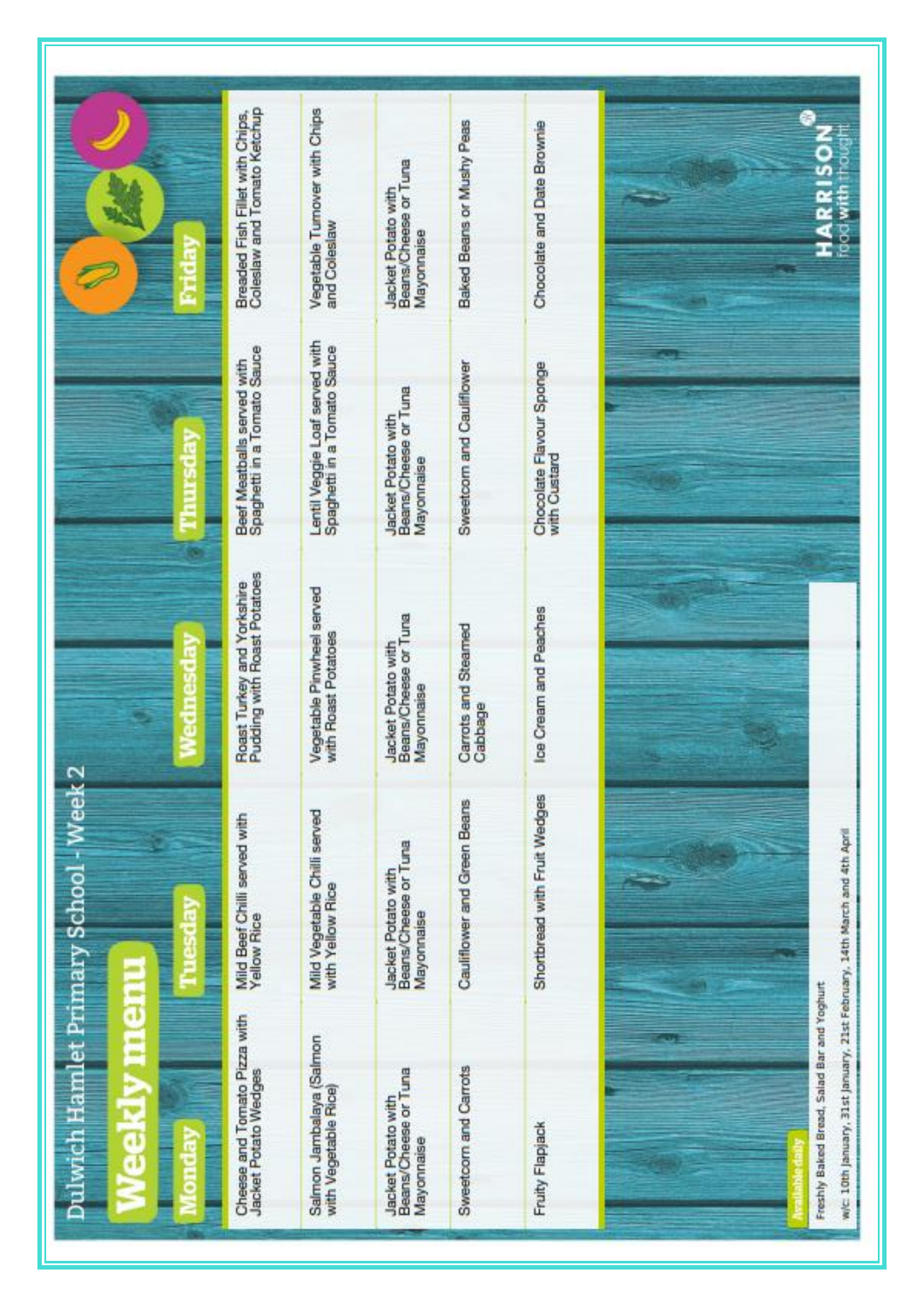|                                        | Coleslaw and Tomato Ketchup<br>Breaded Fish Fillet with Chips, | Vegetable Tumover with Chips<br>and Coleslaw                  | Beans/Cheese or Tuna<br>Jacket Potato with<br>Mayonnaise        | Baked Beans or Mushy Peas      | Chocolate and Date Brownie               | S<br>2<br><b>RISO</b><br>food wi<br>ã                                                                                  |
|----------------------------------------|----------------------------------------------------------------|---------------------------------------------------------------|-----------------------------------------------------------------|--------------------------------|------------------------------------------|------------------------------------------------------------------------------------------------------------------------|
|                                        | Beef Meatballs served with<br>Spaghetti in a Tomato Sauce      | Lentil Veggie Loaf served with<br>Spaghetti in a Tomato Sauce | Beans/Cheese or Tuna<br><b>Jacket Potato with</b><br>Mayonnaise | Sweetcom and Cauliflower       | Chocolate Flavour Sponge<br>with Custard |                                                                                                                        |
|                                        | Roast Turkey and Yorkshire<br>Pudding with Roast Potatoes      | Vegetable Pinwheel served<br>with Roast Potatoes              | Beans/Cheese or Tuna<br>Jacket Potato with<br>Mayonnaise        | Carrots and Steamed<br>Cabbage | Ice Cream and Peaches                    |                                                                                                                        |
| Dulwich Hamlet Primary School - Week 2 | Mild Beef Chilli served with<br>Yellow Rice                    | Mild Vegetable Chilli served<br>with Yellow Rice              | Beans/Cheese or Tuna<br>Jacket Potato with<br>Mayonnaise        | Cauliflower and Green Beans    | Shortbread with Fruit Wedges             |                                                                                                                        |
| <b>Iteration</b><br>ä<br>$\mathbf{a}$  | Cheese and Tomato Pizza with<br><b>Jacket Potato Wedges</b>    | Salmon Jambalaya (Salmon<br>with Vegetable Rice)              | Beans/Cheese or Tuna<br>Jacket Potato with<br>Mayonnaise        | Sweetcorn and Carrots          | Fruity Flapjack                          | w/c: 10th January, 31st January, 21st February, 14th March and 4th April<br>Freshly Baked Bread, Salad Bar and Yoghurt |